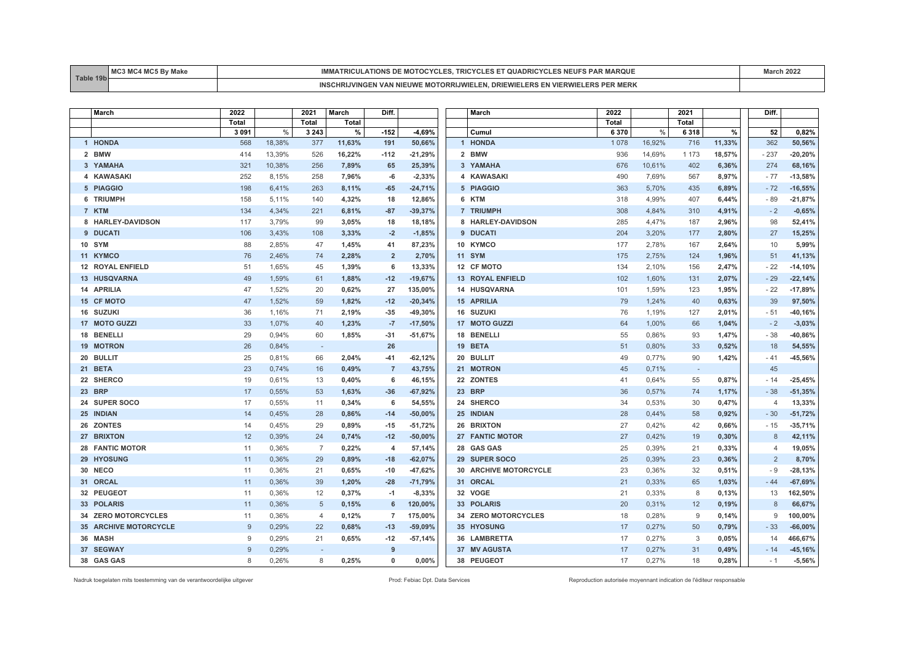| T <sub>0</sub> | BA <sub>O</sub><br>$-0.0 - 1$ | <b>AR MARQUE</b><br>ES NEUFS<br>.<br>MOTOC<br><b>AIRINSDE</b><br>гкіслі<br>. ۲ ۱. ۱<br>$T_{\rm L2L}$ | 88- |
|----------------|-------------------------------|------------------------------------------------------------------------------------------------------|-----|
|                |                               | MERK<br>. DRI<br><b>MOTORRIJW</b><br>'INGEN VAN<br>⊂ UVV<br>-רא                                      |     |

| March                        | 2022         |        | 2021                     | March        | Diff.          |           | March                   | 2022    |        | 2021    |        | Diff.                    |           |
|------------------------------|--------------|--------|--------------------------|--------------|----------------|-----------|-------------------------|---------|--------|---------|--------|--------------------------|-----------|
|                              | <b>Total</b> |        | <b>Total</b>             | <b>Total</b> |                |           |                         | Total   |        | Total   |        |                          |           |
|                              | 3 0 9 1      | %      | 3 2 4 3                  | %            | $-152$         | $-4,69%$  | Cumul                   | 6 3 7 0 | $\%$   | 6318    | $\%$   | 52                       | 0,82%     |
| 1 HONDA                      | 568          | 18,38% | 377                      | 11,63%       | 191            | 50,66%    | 1 HONDA                 | 1 0 7 8 | 16,92% | 716     | 11,33% | 362                      | 50,56%    |
| 2 BMW                        | 414          | 13,39% | 526                      | 16,22%       | $-112$         | $-21,29%$ | 2 BMW                   | 936     | 14,69% | 1 1 7 3 | 18,57% | $-237$                   | $-20,20%$ |
| 3 YAMAHA                     | 321          | 10,38% | 256                      | 7,89%        | 65             | 25,39%    | 3 YAMAHA                | 676     | 10,61% | 402     | 6,36%  | 274                      | 68,16%    |
| 4 KAWASAKI                   | 252          | 8,15%  | 258                      | 7,96%        | -6             | $-2,33%$  | 4 KAWASAKI              | 490     | 7,69%  | 567     | 8,97%  | $-77$                    | $-13,58%$ |
| 5 PIAGGIO                    | 198          | 6,41%  | 263                      | 8,11%        | $-65$          | $-24,71%$ | 5 PIAGGIO               | 363     | 5,70%  | 435     | 6,89%  | $-72$                    | $-16,55%$ |
| 6 TRIUMPH                    | 158          | 5,11%  | 140                      | 4,32%        | 18             | 12,86%    | 6 KTM                   | 318     | 4,99%  | 407     | 6,44%  | - 89                     | $-21,87%$ |
| 7 KTM                        | 134          | 4,34%  | 221                      | 6,81%        | $-87$          | $-39,37%$ | 7 TRIUMPH               | 308     | 4,84%  | 310     | 4,91%  | $-2$                     | $-0,65%$  |
| 8 HARLEY-DAVIDSON            | 117          | 3,79%  | 99                       | 3,05%        | 18             | 18,18%    | 8 HARLEY-DAVIDSON       | 285     | 4,47%  | 187     | 2,96%  | 98                       | 52,41%    |
| 9 DUCATI                     | 106          | 3,43%  | 108                      | 3,33%        | $-2$           | $-1,85%$  | 9 DUCATI                | 204     | 3,20%  | 177     | 2,80%  | 27                       | 15,25%    |
| 10 SYM                       | 88           | 2,85%  | 47                       | 1,45%        | 41             | 87,23%    | 10 KYMCO                | 177     | 2,78%  | 167     | 2,64%  | 10                       | 5,99%     |
| 11 KYMCO                     | 76           | 2.46%  | 74                       | 2,28%        | $\overline{2}$ | 2,70%     | 11 SYM                  | 175     | 2,75%  | 124     | 1,96%  | 51                       | 41,13%    |
| <b>12 ROYAL ENFIELD</b>      | 51           | 1,65%  | 45                       | 1,39%        | 6              | 13,33%    | 12 CF MOTO              | 134     | 2,10%  | 156     | 2,47%  | $-22$                    | $-14,10%$ |
| 13 HUSQVARNA                 | 49           | 1,59%  | 61                       | 1,88%        | $-12$          | $-19,67%$ | <b>13 ROYAL ENFIELD</b> | 102     | 1,60%  | 131     | 2,07%  | $-29$                    | $-22,14%$ |
| 14 APRILIA                   | 47           | 1,52%  | 20                       | 0,62%        | 27             | 135,00%   | 14 HUSQVARNA            | 101     | 1,59%  | 123     | 1,95%  | $-22$                    | $-17,89%$ |
| <b>15 CF MOTO</b>            | 47           | 1,52%  | 59                       | 1,82%        | $-12$          | $-20,34%$ | 15 APRILIA              | 79      | 1,24%  | 40      | 0,63%  | 39                       | 97,50%    |
| 16 SUZUKI                    | 36           | 1,16%  | 71                       | 2,19%        | $-35$          | $-49,30%$ | 16 SUZUKI               | 76      | 1,19%  | 127     | 2,01%  | - 51                     | -40,16%   |
| 17 MOTO GUZZI                | 33           | 1.07%  | 40                       | 1,23%        | $-7$           | $-17,50%$ | 17 MOTO GUZZI           | 64      | 1,00%  | 66      | 1,04%  | $-2$                     | $-3,03%$  |
| 18 BENELLI                   | 29           | 0,94%  | 60                       | 1,85%        | $-31$          | $-51,67%$ | 18 BENELLI              | 55      | 0,86%  | 93      | 1,47%  | $-38$                    | -40,86%   |
| <b>19 MOTRON</b>             | 26           | 0.84%  | $\overline{\phantom{a}}$ |              | 26             |           | 19 BETA                 | 51      | 0,80%  | 33      | 0,52%  | 18                       | 54,55%    |
| 20 BULLIT                    | 25           | 0,81%  | 66                       | 2,04%        | $-41$          | $-62,12%$ | 20 BULLIT               | 49      | 0,77%  | 90      | 1,42%  | - 41                     | $-45,56%$ |
| 21 BETA                      | 23           | 0,74%  | 16                       | 0,49%        | $\overline{7}$ | 43,75%    | 21 MOTRON               | 45      | 0,71%  | $\sim$  |        | 45                       |           |
| 22 SHERCO                    | 19           | 0,61%  | 13                       | 0,40%        | 6              | 46,15%    | 22 ZONTES               | 41      | 0,64%  | 55      | 0,87%  | $-14$                    | $-25,45%$ |
| 23 BRP                       | 17           | 0.55%  | 53                       | 1,63%        | $-36$          | $-67,92%$ | 23 BRP                  | 36      | 0.57%  | 74      | 1,17%  | $-38$                    | $-51,35%$ |
| 24 SUPER SOCO                | 17           | 0,55%  | 11                       | 0,34%        | 6              | 54,55%    | 24 SHERCO               | 34      | 0.53%  | 30      | 0,47%  | $\overline{4}$           | 13,33%    |
| 25 INDIAN                    | 14           | 0,45%  | 28                       | 0,86%        | $-14$          | $-50,00%$ | 25 INDIAN               | 28      | 0,44%  | 58      | 0,92%  | $-30$                    | $-51,72%$ |
| 26 ZONTES                    | 14           | 0,45%  | 29                       | 0,89%        | $-15$          | $-51,72%$ | 26 BRIXTON              | 27      | 0,42%  | 42      | 0,66%  | - 15                     | $-35,71%$ |
| 27 BRIXTON                   | 12           | 0,39%  | 24                       | 0,74%        | $-12$          | $-50,00%$ | 27 FANTIC MOTOR         | 27      | 0,42%  | 19      | 0,30%  | 8                        | 42,11%    |
| <b>28 FANTIC MOTOR</b>       | 11           | 0,36%  | $\overline{7}$           | 0,22%        | $\overline{4}$ | 57,14%    | 28 GAS GAS              | 25      | 0,39%  | 21      | 0,33%  | $\overline{\mathcal{A}}$ | 19,05%    |
| 29 HYOSUNG                   | 11           | 0.36%  | 29                       | 0.89%        | $-18$          | $-62,07%$ | 29 SUPER SOCO           | 25      | 0.39%  | 23      | 0,36%  | $\overline{2}$           | 8,70%     |
| 30 NECO                      | 11           | 0,36%  | 21                       | 0,65%        | $-10$          | $-47,62%$ | 30 ARCHIVE MOTORCYCLE   | 23      | 0,36%  | 32      | 0,51%  | - 9                      | $-28,13%$ |
| 31 ORCAL                     | 11           | 0,36%  | 39                       | 1,20%        | $-28$          | $-71,79%$ | 31 ORCAL                | 21      | 0,33%  | 65      | 1,03%  | $-44$                    | $-67,69%$ |
| 32 PEUGEOT                   | 11           | 0,36%  | 12                       | 0,37%        | $-1$           | $-8,33%$  | 32 VOGE                 | 21      | 0,33%  | 8       | 0,13%  | 13                       | 162,50%   |
| 33 POLARIS                   | 11           | 0.36%  | 5                        | 0,15%        | 6              | 120,00%   | 33 POLARIS              | 20      | 0,31%  | 12      | 0,19%  | 8                        | 66,67%    |
| 34 ZERO MOTORCYCLES          | 11           | 0,36%  | $\overline{4}$           | 0,12%        | $\overline{7}$ | 175,00%   | 34 ZERO MOTORCYCLES     | 18      | 0,28%  | 9       | 0,14%  | 9                        | 100,00%   |
| <b>35 ARCHIVE MOTORCYCLE</b> | $\mathbf{Q}$ | 0,29%  | 22                       | 0,68%        | $-13$          | $-59,09%$ | 35 HYOSUNG              | 17      | 0,27%  | 50      | 0,79%  | $-33$                    | $-66,00%$ |
| 36 MASH                      | 9            | 0,29%  | 21                       | 0,65%        | $-12$          | $-57,14%$ | <b>36 LAMBRETTA</b>     | 17      | 0,27%  | 3       | 0,05%  | 14                       | 466,67%   |
| 37 SEGWAY                    | $\mathbf{Q}$ | 0,29%  |                          |              | 9              |           | 37 MV AGUSTA            | 17      | 0,27%  | 31      | 0,49%  | $-14$                    | $-45,16%$ |
| 38 GAS GAS                   | 8            | 0.26%  | 8                        | 0,25%        | $\Omega$       | 0.00%     | 38 PEUGEOT              | 17      | 0.27%  | 18      | 0,28%  | $-1$                     | $-5,56%$  |

Nadruk toegelaten mits toestemming van de verantwoordelijke uitgever entered enter enter enter a metaleur enter autorisée Prod: Febiac Dpt. Data Services Reproduction autorisée moyennant indication de l'éditeur responsable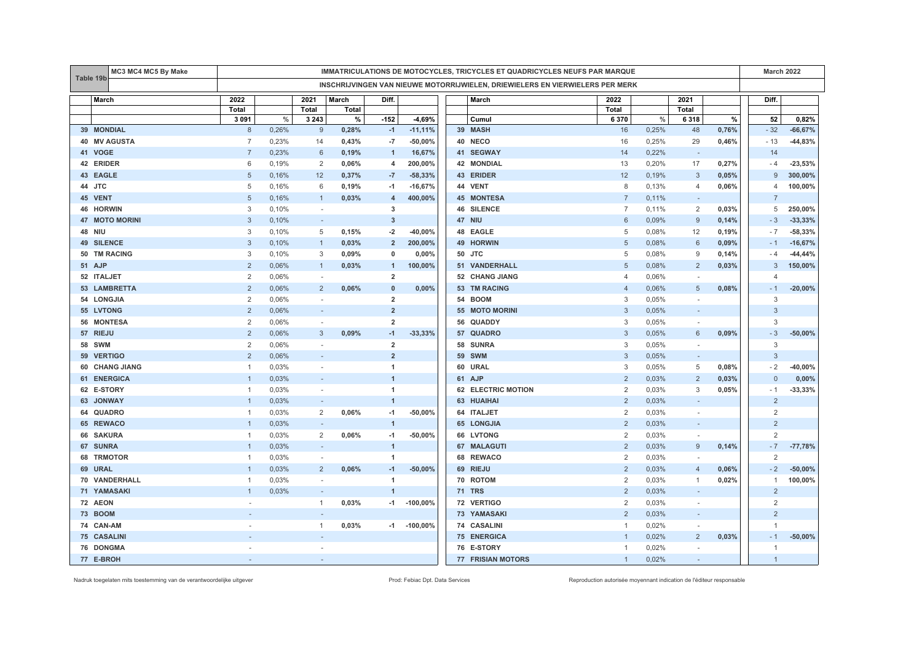|    | MC3 MC4 MC5 By Make<br>Table 19b |                                                                               | IMMATRICULATIONS DE MOTOCYCLES, TRICYCLES ET QUADRICYCLES NEUFS PAR MARQUE |                          |       |                |            |  |                           |                |       |                          |       |                | <b>March 2022</b> |  |
|----|----------------------------------|-------------------------------------------------------------------------------|----------------------------------------------------------------------------|--------------------------|-------|----------------|------------|--|---------------------------|----------------|-------|--------------------------|-------|----------------|-------------------|--|
|    |                                  | INSCHRIJVINGEN VAN NIEUWE MOTORRIJWIELEN, DRIEWIELERS EN VIERWIELERS PER MERK |                                                                            |                          |       |                |            |  |                           |                |       |                          |       |                |                   |  |
|    | March                            | 2022                                                                          |                                                                            | 2021                     | March | Diff.          |            |  | March                     | 2022           |       | 2021                     |       | Diff.          |                   |  |
|    |                                  | Total                                                                         |                                                                            | Total                    | Total |                |            |  |                           | Total          |       | Total                    |       |                |                   |  |
|    |                                  | 3 0 9 1                                                                       | %                                                                          | 3 2 4 3                  | %     | $-152$         | $-4,69%$   |  | Cumul                     | 6 3 7 0        | $\%$  | 6318                     | $\%$  | 52             | 0,82%             |  |
|    | 39 MONDIAL                       | 8                                                                             | 0,26%                                                                      | 9                        | 0,28% | $-1$           | $-11,11%$  |  | 39 MASH                   | 16             | 0,25% | 48                       | 0,76% | $-32$          | $-66,67%$         |  |
|    | 40 MV AGUSTA                     | $\overline{7}$                                                                | 0,23%                                                                      | 14                       | 0,43% | -7             | $-50,00%$  |  | 40 NECO                   | 16             | 0,25% | 29                       | 0,46% | $-13$          | $-44,83%$         |  |
|    | 41 VOGE                          | $\overline{7}$                                                                | 0,23%                                                                      | 6                        | 0,19% | $\overline{1}$ | 16,67%     |  | 41 SEGWAY                 | 14             | 0,22% | $\sim$                   |       | 14             |                   |  |
|    | 42 ERIDER                        | 6                                                                             | 0,19%                                                                      | $\overline{2}$           | 0,06% | 4              | 200,00%    |  | 42 MONDIAL                | 13             | 0,20% | 17                       | 0,27% | $-4$           | $-23,53%$         |  |
|    | 43 EAGLE                         | 5                                                                             | 0,16%                                                                      | 12                       | 0,37% | $-7$           | $-58,33%$  |  | 43 ERIDER                 | 12             | 0,19% | 3                        | 0,05% | 9              | 300,00%           |  |
|    | 44 JTC                           | 5                                                                             | 0,16%                                                                      | 6                        | 0,19% | $-1$           | $-16,67%$  |  | 44 VENT                   | 8              | 0,13% | 4                        | 0,06% | 4              | 100,00%           |  |
|    | 45 VENT                          | 5                                                                             | 0,16%                                                                      | $\overline{1}$           | 0,03% | $\overline{4}$ | 400,00%    |  | <b>45 MONTESA</b>         | $\overline{7}$ | 0,11% | $\overline{\phantom{a}}$ |       | $\overline{7}$ |                   |  |
|    | 46 HORWIN                        | 3                                                                             | 0,10%                                                                      | $\sim$                   |       | 3              |            |  | <b>46 SILENCE</b>         | $\overline{7}$ | 0,11% | 2                        | 0,03% | 5              | 250,00%           |  |
|    | <b>47 MOTO MORINI</b>            | 3                                                                             | 0,10%                                                                      | ÷.                       |       | $\overline{3}$ |            |  | 47 NIU                    | 6              | 0,09% | 9                        | 0,14% | $-3$           | $-33,33%$         |  |
|    | <b>48 NIU</b>                    | 3                                                                             | 0,10%                                                                      | 5                        | 0,15% | $-2$           | $-40,00%$  |  | 48 EAGLE                  | 5              | 0,08% | 12                       | 0,19% | $-7$           | $-58,33%$         |  |
|    | <b>49 SILENCE</b>                | 3                                                                             | 0,10%                                                                      | $\mathbf{1}$             | 0,03% | $\overline{2}$ | 200,00%    |  | 49 HORWIN                 | $\sqrt{5}$     | 0,08% | 6                        | 0,09% | $-1$           | $-16,67%$         |  |
|    | 50 TM RACING                     | 3                                                                             | 0,10%                                                                      | 3                        | 0,09% | $\mathbf 0$    | 0,00%      |  | 50 JTC                    | 5              | 0,08% | 9                        | 0,14% | $-4$           | $-44,44%$         |  |
|    | 51 AJP                           | $\overline{2}$                                                                | 0,06%                                                                      | $\mathbf{1}$             | 0,03% | $\mathbf{1}$   | 100,00%    |  | 51 VANDERHALL             | 5              | 0,08% | $\overline{2}$           | 0,03% | 3              | 150,00%           |  |
|    | 52 ITALJET                       | $\overline{2}$                                                                | 0,06%                                                                      |                          |       | $\overline{2}$ |            |  | 52 CHANG JIANG            | $\overline{4}$ | 0,06% | $\sim$                   |       | $\overline{4}$ |                   |  |
|    | 53 LAMBRETTA                     | 2                                                                             | 0,06%                                                                      | $\overline{2}$           | 0,06% | $\mathbf 0$    | 0,00%      |  | 53 TM RACING              | $\overline{4}$ | 0,06% | 5                        | 0,08% | $-1$           | $-20,00%$         |  |
|    | 54 LONGJIA                       | $\overline{2}$                                                                | 0,06%                                                                      | $\sim$                   |       | $\overline{2}$ |            |  | <b>54 BOOM</b>            | 3              | 0.05% | $\sim$                   |       | 3              |                   |  |
|    | 55 LVTONG                        | $\overline{2}$                                                                | 0,06%                                                                      | $\sim$                   |       | $\overline{2}$ |            |  | 55 MOTO MORINI            | 3              | 0,05% | $\overline{\phantom{a}}$ |       | 3              |                   |  |
|    | 56 MONTESA                       | $\overline{2}$                                                                | 0,06%                                                                      | $\sim$                   |       | $\overline{2}$ |            |  | 56 QUADDY                 | 3              | 0,05% | $\sim$                   |       | 3              |                   |  |
|    | 57 RIEJU                         | $\overline{2}$                                                                | 0,06%                                                                      | 3                        | 0,09% | $-1$           | $-33,33%$  |  | 57 QUADRO                 | 3              | 0,05% | 6                        | 0,09% | $-3$           | $-50,00%$         |  |
| 58 | <b>SWM</b>                       | $\overline{2}$                                                                | 0,06%                                                                      |                          |       | $\overline{2}$ |            |  | 58 SUNRA                  | 3              | 0,05% | $\sim$                   |       | 3              |                   |  |
|    | 59 VERTIGO                       | $\overline{2}$                                                                | 0,06%                                                                      | $\overline{\phantom{a}}$ |       | $\overline{2}$ |            |  | <b>59 SWM</b>             | 3              | 0,05% | $\sim$                   |       | 3              |                   |  |
|    | 60 CHANG JIANG                   | -1                                                                            | 0,03%                                                                      |                          |       | $\mathbf{1}$   |            |  | 60 URAL                   | 3              | 0,05% | 5                        | 0,08% | $-2$           | $-40,00%$         |  |
|    | <b>61 ENERGICA</b>               | $\mathbf{1}$                                                                  | 0,03%                                                                      | ٠                        |       | $\overline{1}$ |            |  | 61 AJP                    | $\overline{2}$ | 0,03% | $\overline{2}$           | 0,03% | $\Omega$       | 0,00%             |  |
|    | 62 E-STORY                       | -1                                                                            | 0,03%                                                                      | $\bar{a}$                |       | $\overline{1}$ |            |  | <b>62 ELECTRIC MOTION</b> | $\overline{2}$ | 0,03% | 3                        | 0,05% | - 1            | $-33,33%$         |  |
| 63 | <b>JONWAY</b>                    | $\mathbf{1}$                                                                  | 0,03%                                                                      | ÷.                       |       | $\mathbf{1}$   |            |  | 63 HUAIHAI                | $\overline{2}$ | 0,03% | $\overline{\phantom{a}}$ |       | $\overline{2}$ |                   |  |
| 64 | <b>QUADRO</b>                    | -1                                                                            | 0,03%                                                                      | 2                        | 0,06% | $-1$           | $-50,00%$  |  | 64 ITALJET                | 2              | 0,03% | $\sim$                   |       | 2              |                   |  |
|    | 65 REWACO                        | $\overline{1}$                                                                | 0,03%                                                                      | $\sim$                   |       | $\overline{1}$ |            |  | 65 LONGJIA                | $\overline{2}$ | 0,03% | $\sim$                   |       | $\overline{2}$ |                   |  |
|    | 66 SAKURA                        | 1                                                                             | 0,03%                                                                      | 2                        | 0,06% | $-1$           | $-50,00%$  |  | <b>66 LVTONG</b>          | $\overline{2}$ | 0,03% | $\overline{\phantom{a}}$ |       | 2              |                   |  |
|    | 67 SUNRA                         | $\mathbf{1}$                                                                  | 0,03%                                                                      | $\sim$                   |       | $\overline{1}$ |            |  | 67 MALAGUTI               | $\overline{2}$ | 0,03% | 9                        | 0,14% | $-7$           | $-77,78%$         |  |
| 68 | <b>TRMOTOR</b>                   | $\mathbf{1}$                                                                  | 0,03%                                                                      | $\sim$                   |       | $\overline{1}$ |            |  | 68 REWACO                 | 2              | 0,03% | $\sim$                   |       | $\overline{2}$ |                   |  |
|    | 69 URAL                          |                                                                               | 0,03%                                                                      | $\overline{2}$           | 0,06% | $-1$           | $-50,00%$  |  | 69 RIEJU                  | $\overline{2}$ | 0,03% | $\overline{4}$           | 0,06% | $-2$           | $-50,00%$         |  |
| 70 | VANDERHALL                       | -1                                                                            | 0,03%                                                                      | i.                       |       | $\overline{1}$ |            |  | 70 ROTOM                  | 2              | 0,03% | $\mathbf{1}$             | 0,02% | 1              | 100,00%           |  |
|    | <b>71 YAMASAKI</b>               | -1                                                                            | 0,03%                                                                      | $\sim$                   |       | $\overline{1}$ |            |  | <b>71 TRS</b>             | $\overline{2}$ | 0,03% | $\sim$                   |       | $\overline{2}$ |                   |  |
|    | 72 AEON                          |                                                                               |                                                                            | $\mathbf{1}$             | 0,03% | $-1$           | $-100,00%$ |  | 72 VERTIGO                | $\overline{c}$ | 0,03% | $\sim$                   |       | 2              |                   |  |
|    | 73 BOOM                          |                                                                               |                                                                            |                          |       |                |            |  | <b>73 YAMASAKI</b>        | $\overline{2}$ | 0,03% | $\overline{\phantom{a}}$ |       | $\overline{2}$ |                   |  |
|    | 74 CAN-AM                        |                                                                               |                                                                            | 1                        | 0,03% | $-1$           | $-100,00%$ |  | 74 CASALINI               | $\overline{1}$ | 0,02% | $\sim$                   |       | $\mathbf{1}$   |                   |  |
|    | 75 CASALINI                      |                                                                               |                                                                            |                          |       |                |            |  | <b>75 ENERGICA</b>        | $\overline{1}$ | 0,02% | $\overline{2}$           | 0,03% | $-1$           | $-50,00%$         |  |
|    | 76 DONGMA                        |                                                                               |                                                                            |                          |       |                |            |  | 76 E-STORY                | $\overline{1}$ | 0,02% |                          |       | $\mathbf{1}$   |                   |  |
|    | 77 E-BROH                        |                                                                               |                                                                            |                          |       |                |            |  | <b>77 FRISIAN MOTORS</b>  | $\mathbf{1}$   | 0.02% |                          |       | $\mathbf{1}$   |                   |  |

Nadruk toegelaten mits toestemming van de verantwoordelijke uitgever entered enter enter enter a metaleur enter autorisée Prod: Febiac Dpt. Data Services Reproduction autorisée moyennant indication de l'éditeur responsable